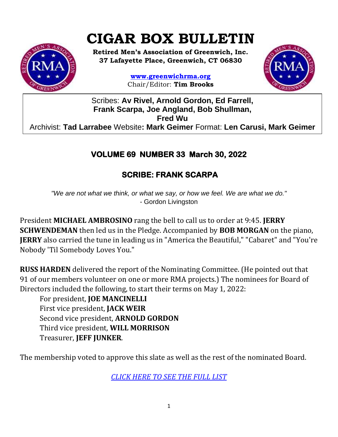# **CIGAR BOX BULLETIN**



**Retired Men's Association of Greenwich, Inc. 37 Lafayette Place, Greenwich, CT 06830**

> **www.greenwichrma.org** Chair/Editor: **Tim Brooks**



Scribes: **Av Rivel, Arnold Gordon, Ed Farrell, Frank Scarpa, Joe Angland, Bob Shullman, Fred Wu** Archivist: **Tad Larrabee** Website**: Mark Geimer** Format: **Len Carusi, Mark Geimer c**

# **VOLUME 69 NUMBER 33 March 30, 2022**

## **SCRIBE: FRANK SCARPA**

*"We are not what we think, or what we say, or how we feel. We are what we do."* - Gordon Livingston

President **MICHAEL AMBROSINO** rang the bell to call us to order at 9:45. **JERRY SCHWENDEMAN** then led us in the Pledge. Accompanied by **BOB MORGAN** on the piano, **JERRY** also carried the tune in leading us in "America the Beautiful," "Cabaret" and "You're Nobody 'Til Somebody Loves You."

**RUSS HARDEN** delivered the report of the Nominating Committee. (He pointed out that 91 of our members volunteer on one or more RMA projects.) The nominees for Board of Directors included the following, to start their terms on May 1, 2022:

For president, **JOE MANCINELLI** First vice president, **JACK WEIR** Second vice president, **ARNOLD GORDON** Third vice president, **WILL MORRISON** Treasurer, **JEFF JUNKER**.

The membership voted to approve this slate as well as the rest of the nominated Board.

*[CLICK HERE TO SEE THE FULL LIST](https://mcusercontent.com/053716f9c54f7992fd5ff0675/files/0caa55e9-de6a-e9d3-b828-8e8dd618e7fb/NOMINATING_COUNCIL_0501_2022.pdf)*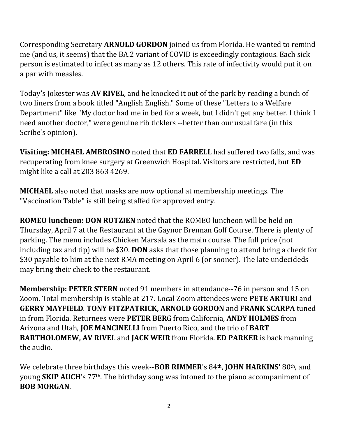Corresponding Secretary **ARNOLD GORDON** joined us from Florida. He wanted to remind me (and us, it seems) that the BA.2 variant of COVID is exceedingly contagious. Each sick person is estimated to infect as many as 12 others. This rate of infectivity would put it on a par with measles.

Today's Jokester was **AV RIVEL**, and he knocked it out of the park by reading a bunch of two liners from a book titled "Anglish English." Some of these "Letters to a Welfare Department" like "My doctor had me in bed for a week, but I didn't get any better. I think I need another doctor," were genuine rib ticklers --better than our usual fare (in this Scribe's opinion).

**Visiting: MICHAEL AMBROSINO** noted that **ED FARRELL** had suffered two falls, and was recuperating from knee surgery at Greenwich Hospital. Visitors are restricted, but **ED** might like a call at 203 863 4269.

**MICHAEL** also noted that masks are now optional at membership meetings. The "Vaccination Table" is still being staffed for approved entry.

**ROMEO luncheon: DON ROTZIEN** noted that the ROMEO luncheon will be held on Thursday, April 7 at the Restaurant at the Gaynor Brennan Golf Course. There is plenty of parking. The menu includes Chicken Marsala as the main course. The full price (not including tax and tip) will be \$30. **DON** asks that those planning to attend bring a check for \$30 payable to him at the next RMA meeting on April 6 (or sooner). The late undecideds may bring their check to the restaurant.

**Membership: PETER STERN** noted 91 members in attendance--76 in person and 15 on Zoom. Total membership is stable at 217. Local Zoom attendees were **PETE ARTURI** and **GERRY MAYFIELD**. **TONY FITZPATRICK, ARNOLD GORDON** and **FRANK SCARPA** tuned in from Florida. Returnees were **PETER BER**G from California, **ANDY HOLMES** from Arizona and Utah, **JOE MANCINELLI** from Puerto Rico, and the trio of **BART BARTHOLOMEW, AV RIVEL** and **JACK WEIR** from Florida. **ED PARKER** is back manning the audio.

We celebrate three birthdays this week--**BOB RIMMER**'s 84th, **JOHN HARKINS'** 80th, and young **SKIP AUCH**'s 77th. The birthday song was intoned to the piano accompaniment of **BOB MORGAN**.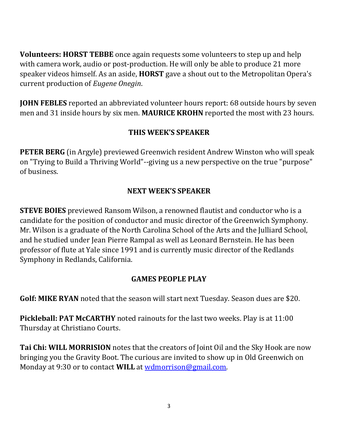**Volunteers: HORST TEBBE** once again requests some volunteers to step up and help with camera work, audio or post-production. He will only be able to produce 21 more speaker videos himself. As an aside, **HORST** gave a shout out to the Metropolitan Opera's current production of *Eugene Onegin*.

**JOHN FEBLES** reported an abbreviated volunteer hours report: 68 outside hours by seven men and 31 inside hours by six men. **MAURICE KROHN** reported the most with 23 hours.

#### **THIS WEEK'S SPEAKER**

**PETER BERG** (in Argyle) previewed Greenwich resident Andrew Winston who will speak on "Trying to Build a Thriving World"--giving us a new perspective on the true "purpose" of business.

#### **NEXT WEEK'S SPEAKER**

**STEVE BOIES** previewed Ransom Wilson, a renowned flautist and conductor who is a candidate for the position of conductor and music director of the Greenwich Symphony. Mr. Wilson is a graduate of the North Carolina School of the Arts and the Julliard School, and he studied under Jean Pierre Rampal as well as Leonard Bernstein. He has been professor of flute at Yale since 1991 and is currently music director of the Redlands Symphony in Redlands, California.

#### **GAMES PEOPLE PLAY**

**Golf: MIKE RYAN** noted that the season will start next Tuesday. Season dues are \$20.

**Pickleball: PAT McCARTHY** noted rainouts for the last two weeks. Play is at 11:00 Thursday at Christiano Courts.

**Tai Chi: WILL MORRISION** notes that the creators of Joint Oil and the Sky Hook are now bringing you the Gravity Boot. The curious are invited to show up in Old Greenwich on Monday at 9:30 or to contact **WILL** at [wdmorrison@gmail.com.](mailto:wdmorrison@gmail.com)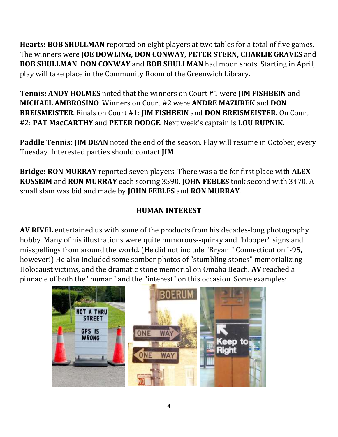**Hearts: BOB SHULLMAN** reported on eight players at two tables for a total of five games. The winners were **JOE DOWLING, DON CONWAY, PETER STERN, CHARLIE GRAVES** and **BOB SHULLMAN**. **DON CONWAY** and **BOB SHULLMAN** had moon shots. Starting in April, play will take place in the Community Room of the Greenwich Library.

**Tennis: ANDY HOLMES** noted that the winners on Court #1 were **JIM FISHBEIN** and **MICHAEL AMBROSINO**. Winners on Court #2 were **ANDRE MAZUREK** and **DON BREISMEISTER**. Finals on Court #1: **JIM FISHBEIN** and **DON BREISMEISTER**. On Court #2: **PAT MacCARTHY** and **PETER DODGE**. Next week's captain is **LOU RUPNIK**.

**Paddle Tennis: JIM DEAN** noted the end of the season. Play will resume in October, every Tuesday. Interested parties should contact **JIM**.

**Bridge: RON MURRAY** reported seven players. There was a tie for first place with **ALEX KOSSEIM** and **RON MURRAY** each scoring 3590. **JOHN FEBLES** took second with 3470. A small slam was bid and made by **JOHN FEBLES** and **RON MURRAY**.

## **HUMAN INTEREST**

**AV RIVEL** entertained us with some of the products from his decades-long photography hobby. Many of his illustrations were quite humorous--quirky and "blooper" signs and misspellings from around the world. (He did not include "Bryam" Connecticut on I-95, however!) He also included some somber photos of "stumbling stones" memorializing Holocaust victims, and the dramatic stone memorial on Omaha Beach. **AV** reached a pinnacle of both the "human" and the "interest" on this occasion. Some examples:

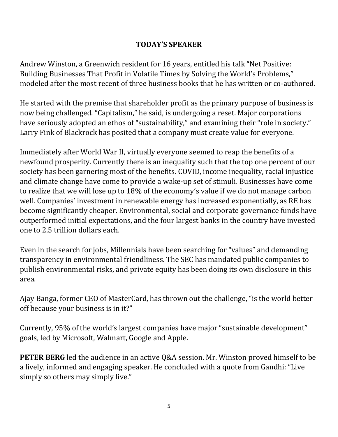#### **TODAY'S SPEAKER**

Andrew Winston, a Greenwich resident for 16 years, entitled his talk "Net Positive: Building Businesses That Profit in Volatile Times by Solving the World's Problems," modeled after the most recent of three business books that he has written or co-authored.

He started with the premise that shareholder profit as the primary purpose of business is now being challenged. "Capitalism," he said, is undergoing a reset. Major corporations have seriously adopted an ethos of "sustainability," and examining their "role in society." Larry Fink of Blackrock has posited that a company must create value for everyone.

Immediately after World War II, virtually everyone seemed to reap the benefits of a newfound prosperity. Currently there is an inequality such that the top one percent of our society has been garnering most of the benefits. COVID, income inequality, racial injustice and climate change have come to provide a wake-up set of stimuli. Businesses have come to realize that we will lose up to 18% of the economy's value if we do not manage carbon well. Companies' investment in renewable energy has increased exponentially, as RE has become significantly cheaper. Environmental, social and corporate governance funds have outperformed initial expectations, and the four largest banks in the country have invested one to 2.5 trillion dollars each.

Even in the search for jobs, Millennials have been searching for "values" and demanding transparency in environmental friendliness. The SEC has mandated public companies to publish environmental risks, and private equity has been doing its own disclosure in this area.

Ajay Banga, former CEO of MasterCard, has thrown out the challenge, "is the world better off because your business is in it?"

Currently, 95% of the world's largest companies have major "sustainable development" goals, led by Microsoft, Walmart, Google and Apple.

**PETER BERG** led the audience in an active Q&A session. Mr. Winston proved himself to be a lively, informed and engaging speaker. He concluded with a quote from Gandhi: "Live simply so others may simply live."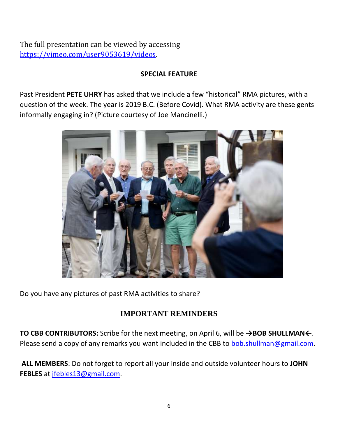The full presentation can be viewed by accessing [https://vimeo.com/user9053619/videos.](https://vimeo.com/user9053619/videos)

#### **SPECIAL FEATURE**

Past President **PETE UHRY** has asked that we include a few "historical" RMA pictures, with a question of the week. The year is 2019 B.C. (Before Covid). What RMA activity are these gents informally engaging in? (Picture courtesy of Joe Mancinelli.)



Do you have any pictures of past RMA activities to share?

### **IMPORTANT REMINDERS**

**TO CBB CONTRIBUTORS:** Scribe for the next meeting, on April 6, will be **→BOB SHULLMAN←**. Please send a copy of any remarks you want included in the CBB to **[bob.shullman@gmail.com.](mailto:bob.shullman@gmail.com)** 

**ALL MEMBERS**: Do not forget to report all your inside and outside volunteer hours to **JOHN FEBLES** at [jfebles13@gmail.com.](mailto:jfebles13@gmail.com)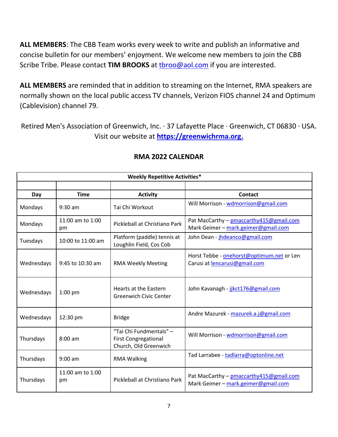**ALL MEMBERS**: The CBB Team works every week to write and publish an informative and concise bulletin for our members' enjoyment. We welcome new members to join the CBB Scribe Tribe. Please contact TIM BROOKS at throo@aol.com if you are interested.

**ALL MEMBERS** are reminded that in addition to streaming on the Internet, RMA speakers are normally shown on the local public access TV channels, Verizon FIOS channel 24 and Optimum (Cablevision) channel 79.

Retired Men's Association of Greenwich, Inc. · 37 Lafayette Place · Greenwich, CT 06830 · USA. Visit our website at **[https://greenwichrma.org.](https://greenwichrma.org/)**

| <b>Weekly Repetitive Activities*</b> |                        |                                                                                 |                                                                                 |  |
|--------------------------------------|------------------------|---------------------------------------------------------------------------------|---------------------------------------------------------------------------------|--|
|                                      |                        |                                                                                 |                                                                                 |  |
| Day                                  | <b>Time</b>            | <b>Activity</b>                                                                 | Contact                                                                         |  |
| Mondays                              | $9:30$ am              | Tai Chi Workout                                                                 | Will Morrison - wdmorrison@gmail.com                                            |  |
| Mondays                              | 11:00 am to 1:00<br>pm | Pickleball at Christiano Park                                                   | Pat MacCarthy - pmaccarthy 415@gmail.com<br>Mark Geimer - mark.geimer@gmail.com |  |
| Tuesdays                             | 10:00 to 11:00 am      | Platform (paddle) tennis at<br>Loughlin Field, Cos Cob                          | John Dean - jhdeanco@gmail.com                                                  |  |
| Wednesdays                           | 9:45 to 10:30 am       | <b>RMA Weekly Meeting</b>                                                       | Horst Tebbe - onehorst@optimum.net or Len<br>Carusi at lencarusi@gmail.com      |  |
| Wednesdays                           | $1:00$ pm              | Hearts at the Eastern<br><b>Greenwich Civic Center</b>                          | John Kavanagh - jikct176@gmail.com                                              |  |
| Wednesdays                           | 12:30 pm               | <b>Bridge</b>                                                                   | Andre Mazurek - mazurek.a.j@gmail.com                                           |  |
| Thursdays                            | $8:00 \text{ am}$      | "Tai Chi Fundmentals" -<br><b>First Congregational</b><br>Church, Old Greenwich | Will Morrison - wdmorrison@gmail.com                                            |  |
| Thursdays                            | $9:00$ am              | <b>RMA Walking</b>                                                              | Tad Larrabee - tadlarra@optonline.net                                           |  |
| Thursdays                            | 11:00 am to 1:00<br>pm | Pickleball at Christiano Park                                                   | Pat MacCarthy - pmaccarthy415@gmail.com<br>Mark Geimer - mark.geimer@gmail.com  |  |

#### **RMA 2022 CALENDAR**